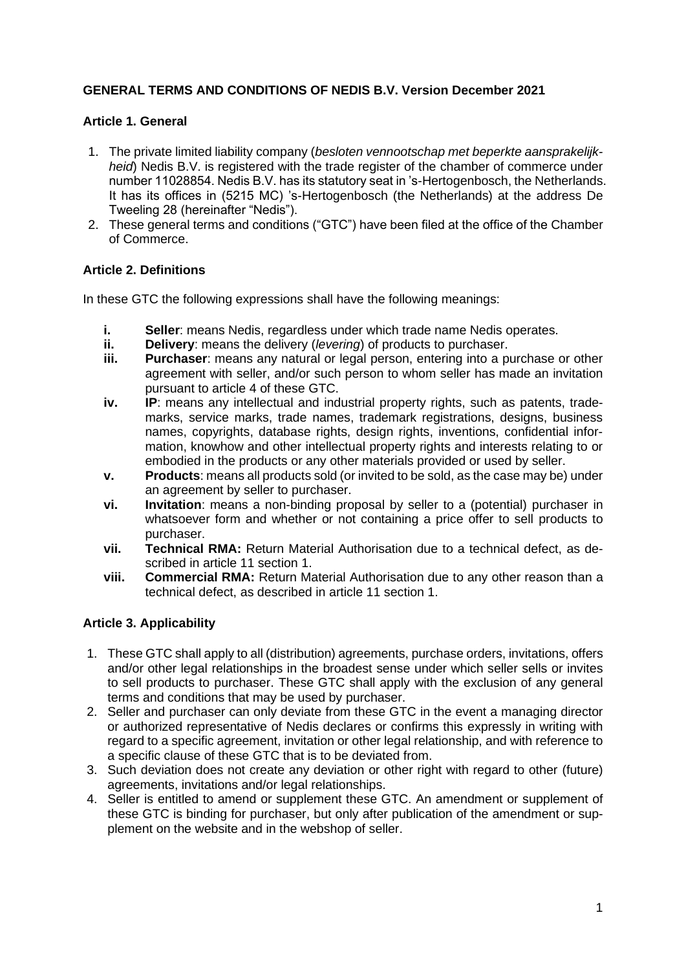# **GENERAL TERMS AND CONDITIONS OF NEDIS B.V. Version December 2021**

### **Article 1. General**

- 1. The private limited liability company (*besloten vennootschap met beperkte aansprakelijkheid*) Nedis B.V. is registered with the trade register of the chamber of commerce under number 11028854. Nedis B.V. has its statutory seat in 's-Hertogenbosch, the Netherlands. It has its offices in (5215 MC) 's-Hertogenbosch (the Netherlands) at the address De Tweeling 28 (hereinafter "Nedis").
- 2. These general terms and conditions ("GTC") have been filed at the office of the Chamber of Commerce.

# **Article 2. Definitions**

In these GTC the following expressions shall have the following meanings:

- **i. Seller**: means Nedis, regardless under which trade name Nedis operates.
- **ii. Delivery**: means the delivery (*levering*) of products to purchaser.
- **iii. Purchaser**: means any natural or legal person, entering into a purchase or other agreement with seller, and/or such person to whom seller has made an invitation pursuant to article 4 of these GTC.
- **iv. IP**: means any intellectual and industrial property rights, such as patents, trademarks, service marks, trade names, trademark registrations, designs, business names, copyrights, database rights, design rights, inventions, confidential information, knowhow and other intellectual property rights and interests relating to or embodied in the products or any other materials provided or used by seller.
- **v. Products**: means all products sold (or invited to be sold, as the case may be) under an agreement by seller to purchaser.
- **vi. Invitation**: means a non-binding proposal by seller to a (potential) purchaser in whatsoever form and whether or not containing a price offer to sell products to purchaser.
- **vii. Technical RMA:** Return Material Authorisation due to a technical defect, as described in article 11 section 1.
- **viii. Commercial RMA:** Return Material Authorisation due to any other reason than a technical defect, as described in article 11 section 1.

#### **Article 3. Applicability**

- 1. These GTC shall apply to all (distribution) agreements, purchase orders, invitations, offers and/or other legal relationships in the broadest sense under which seller sells or invites to sell products to purchaser. These GTC shall apply with the exclusion of any general terms and conditions that may be used by purchaser.
- 2. Seller and purchaser can only deviate from these GTC in the event a managing director or authorized representative of Nedis declares or confirms this expressly in writing with regard to a specific agreement, invitation or other legal relationship, and with reference to a specific clause of these GTC that is to be deviated from.
- 3. Such deviation does not create any deviation or other right with regard to other (future) agreements, invitations and/or legal relationships.
- 4. Seller is entitled to amend or supplement these GTC. An amendment or supplement of these GTC is binding for purchaser, but only after publication of the amendment or supplement on the website and in the webshop of seller.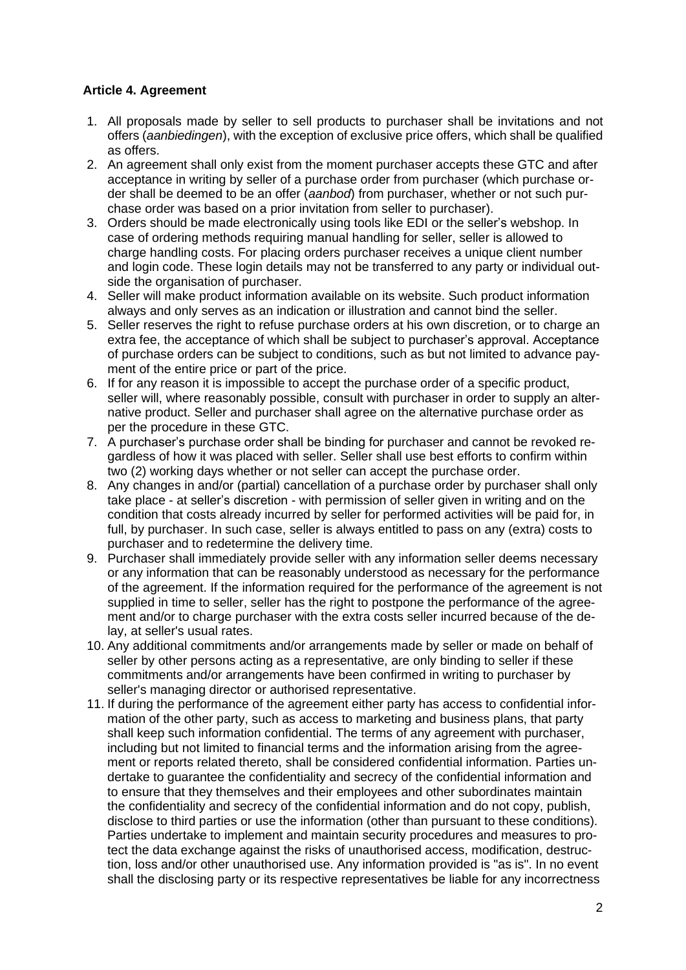# **Article 4. Agreement**

- 1. All proposals made by seller to sell products to purchaser shall be invitations and not offers (*aanbiedingen*), with the exception of exclusive price offers, which shall be qualified as offers.
- 2. An agreement shall only exist from the moment purchaser accepts these GTC and after acceptance in writing by seller of a purchase order from purchaser (which purchase order shall be deemed to be an offer (*aanbod*) from purchaser, whether or not such purchase order was based on a prior invitation from seller to purchaser).
- 3. Orders should be made electronically using tools like EDI or the seller's webshop. In case of ordering methods requiring manual handling for seller, seller is allowed to charge handling costs. For placing orders purchaser receives a unique client number and login code. These login details may not be transferred to any party or individual outside the organisation of purchaser.
- 4. Seller will make product information available on its website. Such product information always and only serves as an indication or illustration and cannot bind the seller.
- 5. Seller reserves the right to refuse purchase orders at his own discretion, or to charge an extra fee, the acceptance of which shall be subject to purchaser's approval. Acceptance of purchase orders can be subject to conditions, such as but not limited to advance payment of the entire price or part of the price.
- 6. If for any reason it is impossible to accept the purchase order of a specific product, seller will, where reasonably possible, consult with purchaser in order to supply an alternative product. Seller and purchaser shall agree on the alternative purchase order as per the procedure in these GTC.
- 7. A purchaser's purchase order shall be binding for purchaser and cannot be revoked regardless of how it was placed with seller. Seller shall use best efforts to confirm within two (2) working days whether or not seller can accept the purchase order.
- 8. Any changes in and/or (partial) cancellation of a purchase order by purchaser shall only take place - at seller's discretion - with permission of seller given in writing and on the condition that costs already incurred by seller for performed activities will be paid for, in full, by purchaser. In such case, seller is always entitled to pass on any (extra) costs to purchaser and to redetermine the delivery time.
- 9. Purchaser shall immediately provide seller with any information seller deems necessary or any information that can be reasonably understood as necessary for the performance of the agreement. If the information required for the performance of the agreement is not supplied in time to seller, seller has the right to postpone the performance of the agreement and/or to charge purchaser with the extra costs seller incurred because of the delay, at seller's usual rates.
- 10. Any additional commitments and/or arrangements made by seller or made on behalf of seller by other persons acting as a representative, are only binding to seller if these commitments and/or arrangements have been confirmed in writing to purchaser by seller's managing director or authorised representative.
- 11. If during the performance of the agreement either party has access to confidential information of the other party, such as access to marketing and business plans, that party shall keep such information confidential. The terms of any agreement with purchaser, including but not limited to financial terms and the information arising from the agreement or reports related thereto, shall be considered confidential information. Parties undertake to guarantee the confidentiality and secrecy of the confidential information and to ensure that they themselves and their employees and other subordinates maintain the confidentiality and secrecy of the confidential information and do not copy, publish, disclose to third parties or use the information (other than pursuant to these conditions). Parties undertake to implement and maintain security procedures and measures to protect the data exchange against the risks of unauthorised access, modification, destruction, loss and/or other unauthorised use. Any information provided is "as is". In no event shall the disclosing party or its respective representatives be liable for any incorrectness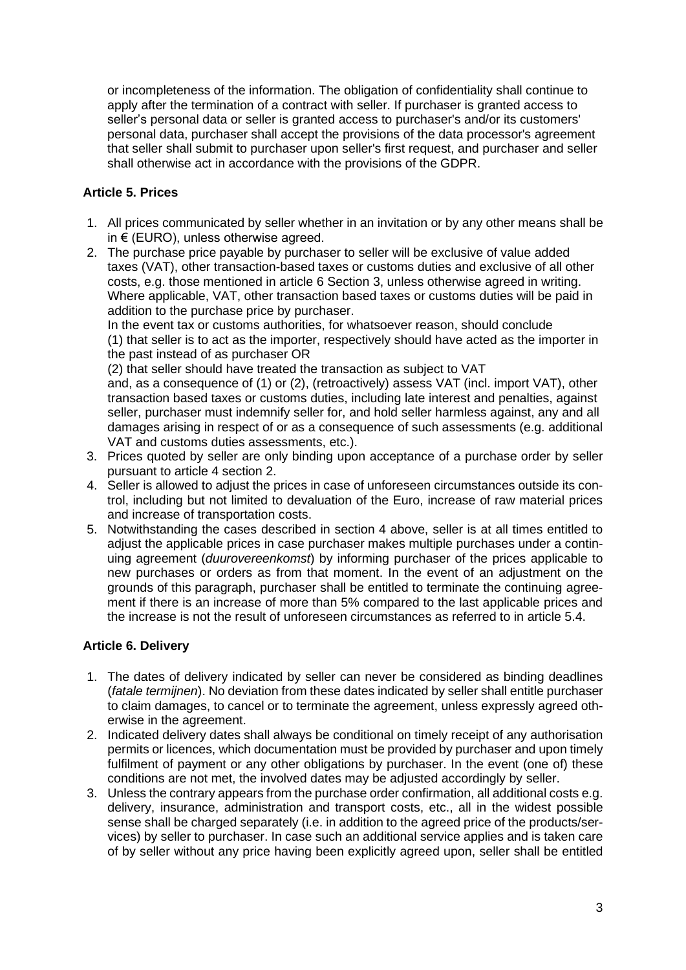or incompleteness of the information. The obligation of confidentiality shall continue to apply after the termination of a contract with seller. If purchaser is granted access to seller's personal data or seller is granted access to purchaser's and/or its customers' personal data, purchaser shall accept the provisions of the data processor's agreement that seller shall submit to purchaser upon seller's first request, and purchaser and seller shall otherwise act in accordance with the provisions of the GDPR.

# **Article 5. Prices**

- 1. All prices communicated by seller whether in an invitation or by any other means shall be in € (EURO), unless otherwise agreed.
- 2. The purchase price payable by purchaser to seller will be exclusive of value added taxes (VAT), other transaction-based taxes or customs duties and exclusive of all other costs, e.g. those mentioned in article 6 Section 3, unless otherwise agreed in writing. Where applicable, VAT, other transaction based taxes or customs duties will be paid in addition to the purchase price by purchaser.

In the event tax or customs authorities, for whatsoever reason, should conclude (1) that seller is to act as the importer, respectively should have acted as the importer in the past instead of as purchaser OR

(2) that seller should have treated the transaction as subject to VAT

and, as a consequence of (1) or (2), (retroactively) assess VAT (incl. import VAT), other transaction based taxes or customs duties, including late interest and penalties, against seller, purchaser must indemnify seller for, and hold seller harmless against, any and all damages arising in respect of or as a consequence of such assessments (e.g. additional VAT and customs duties assessments, etc.).

- 3. Prices quoted by seller are only binding upon acceptance of a purchase order by seller pursuant to article 4 section 2.
- 4. Seller is allowed to adjust the prices in case of unforeseen circumstances outside its control, including but not limited to devaluation of the Euro, increase of raw material prices and increase of transportation costs.
- 5. Notwithstanding the cases described in section 4 above, seller is at all times entitled to adjust the applicable prices in case purchaser makes multiple purchases under a continuing agreement (*duurovereenkomst*) by informing purchaser of the prices applicable to new purchases or orders as from that moment. In the event of an adjustment on the grounds of this paragraph, purchaser shall be entitled to terminate the continuing agreement if there is an increase of more than 5% compared to the last applicable prices and the increase is not the result of unforeseen circumstances as referred to in article 5.4.

# **Article 6. Delivery**

- 1. The dates of delivery indicated by seller can never be considered as binding deadlines (*fatale termijnen*). No deviation from these dates indicated by seller shall entitle purchaser to claim damages, to cancel or to terminate the agreement, unless expressly agreed otherwise in the agreement.
- 2. Indicated delivery dates shall always be conditional on timely receipt of any authorisation permits or licences, which documentation must be provided by purchaser and upon timely fulfilment of payment or any other obligations by purchaser. In the event (one of) these conditions are not met, the involved dates may be adjusted accordingly by seller.
- 3. Unless the contrary appears from the purchase order confirmation, all additional costs e.g. delivery, insurance, administration and transport costs, etc., all in the widest possible sense shall be charged separately (i.e. in addition to the agreed price of the products/services) by seller to purchaser. In case such an additional service applies and is taken care of by seller without any price having been explicitly agreed upon, seller shall be entitled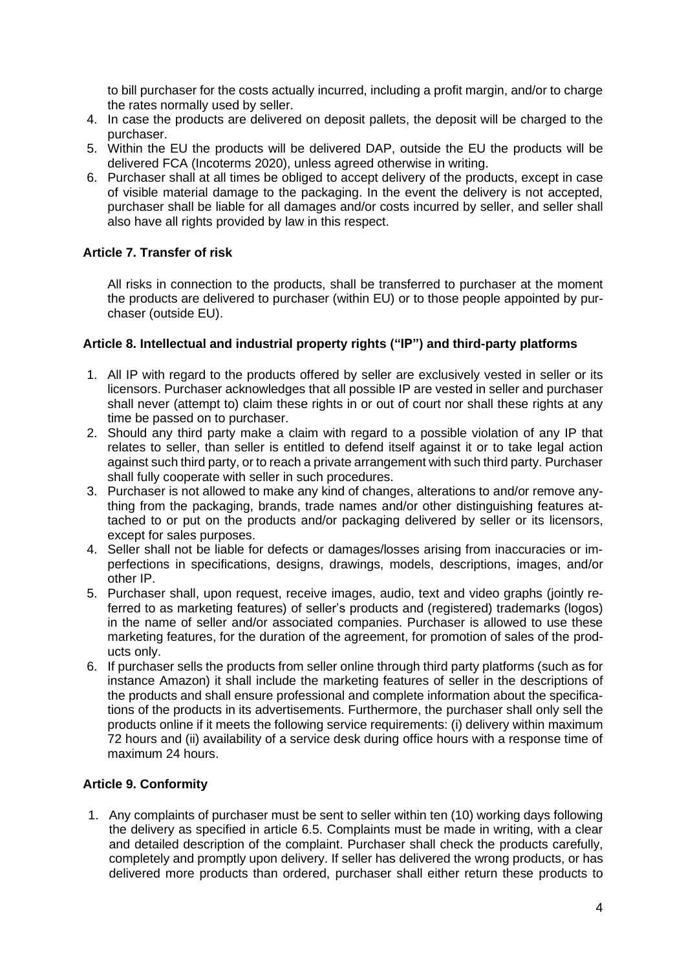to bill purchaser for the costs actually incurred, including a profit margin, and/or to charge the rates normally used by seller.

- 4. In case the products are delivered on deposit pallets, the deposit will be charged to the purchaser.
- 5. Within the EU the products will be delivered DAP, outside the EU the products will be delivered FCA (Incoterms 2020), unless agreed otherwise in writing.
- 6. Purchaser shall at all times be obliged to accept delivery of the products, except in case of visible material damage to the packaging. In the event the delivery is not accepted, purchaser shall be liable for all damages and/or costs incurred by seller, and seller shall also have all rights provided by law in this respect.

### **Article 7. Transfer of risk**

All risks in connection to the products, shall be transferred to purchaser at the moment the products are delivered to purchaser (within EU) or to those people appointed by purchaser (outside EU).

#### **Article 8. Intellectual and industrial property rights ("IP") and third-party platforms**

- 1. All IP with regard to the products offered by seller are exclusively vested in seller or its licensors. Purchaser acknowledges that all possible IP are vested in seller and purchaser shall never (attempt to) claim these rights in or out of court nor shall these rights at any time be passed on to purchaser.
- 2. Should any third party make a claim with regard to a possible violation of any IP that relates to seller, than seller is entitled to defend itself against it or to take legal action against such third party, or to reach a private arrangement with such third party. Purchaser shall fully cooperate with seller in such procedures.
- 3. Purchaser is not allowed to make any kind of changes, alterations to and/or remove anything from the packaging, brands, trade names and/or other distinguishing features attached to or put on the products and/or packaging delivered by seller or its licensors, except for sales purposes.
- 4. Seller shall not be liable for defects or damages/losses arising from inaccuracies or imperfections in specifications, designs, drawings, models, descriptions, images, and/or other IP.
- 5. Purchaser shall, upon request, receive images, audio, text and video graphs (jointly referred to as marketing features) of seller's products and (registered) trademarks (logos) in the name of seller and/or associated companies. Purchaser is allowed to use these marketing features, for the duration of the agreement, for promotion of sales of the products only.
- 6. If purchaser sells the products from seller online through third party platforms (such as for instance Amazon) it shall include the marketing features of seller in the descriptions of the products and shall ensure professional and complete information about the specifications of the products in its advertisements. Furthermore, the purchaser shall only sell the products online if it meets the following service requirements: (i) delivery within maximum 72 hours and (ii) availability of a service desk during office hours with a response time of maximum 24 hours.

# **Article 9. Conformity**

1. Any complaints of purchaser must be sent to seller within ten (10) working days following the delivery as specified in article 6.5. Complaints must be made in writing, with a clear and detailed description of the complaint. Purchaser shall check the products carefully, completely and promptly upon delivery. If seller has delivered the wrong products, or has delivered more products than ordered, purchaser shall either return these products to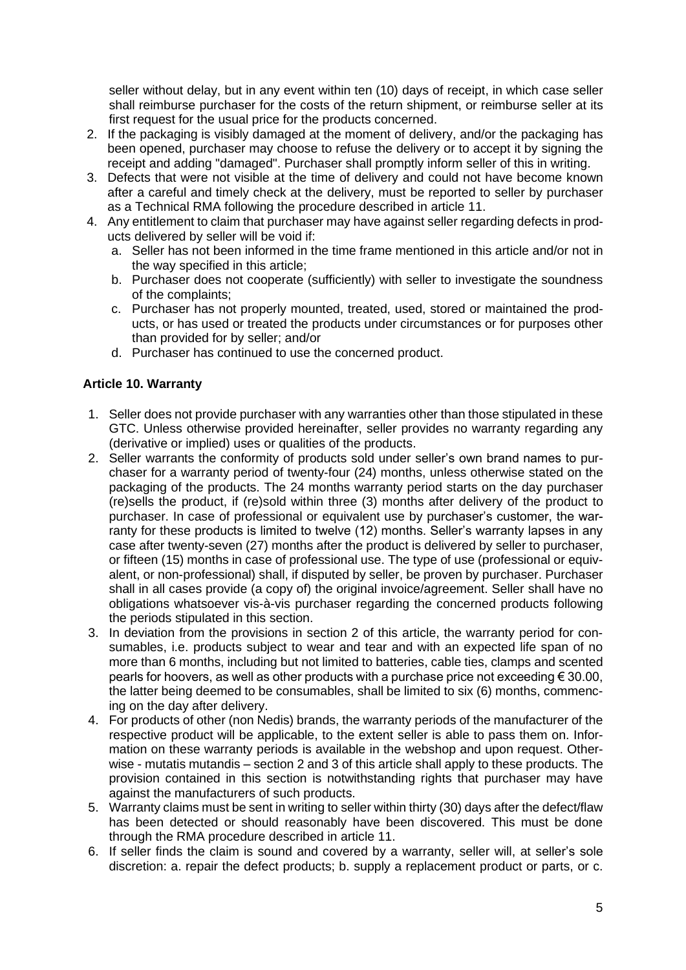seller without delay, but in any event within ten (10) days of receipt, in which case seller shall reimburse purchaser for the costs of the return shipment, or reimburse seller at its first request for the usual price for the products concerned.

- 2. If the packaging is visibly damaged at the moment of delivery, and/or the packaging has been opened, purchaser may choose to refuse the delivery or to accept it by signing the receipt and adding "damaged". Purchaser shall promptly inform seller of this in writing.
- 3. Defects that were not visible at the time of delivery and could not have become known after a careful and timely check at the delivery, must be reported to seller by purchaser as a Technical RMA following the procedure described in article 11.
- 4. Any entitlement to claim that purchaser may have against seller regarding defects in products delivered by seller will be void if:
	- a. Seller has not been informed in the time frame mentioned in this article and/or not in the way specified in this article;
	- b. Purchaser does not cooperate (sufficiently) with seller to investigate the soundness of the complaints;
	- c. Purchaser has not properly mounted, treated, used, stored or maintained the products, or has used or treated the products under circumstances or for purposes other than provided for by seller; and/or
	- d. Purchaser has continued to use the concerned product.

### **Article 10. Warranty**

- 1. Seller does not provide purchaser with any warranties other than those stipulated in these GTC. Unless otherwise provided hereinafter, seller provides no warranty regarding any (derivative or implied) uses or qualities of the products.
- 2. Seller warrants the conformity of products sold under seller's own brand names to purchaser for a warranty period of twenty-four (24) months, unless otherwise stated on the packaging of the products. The 24 months warranty period starts on the day purchaser (re)sells the product, if (re)sold within three (3) months after delivery of the product to purchaser. In case of professional or equivalent use by purchaser's customer, the warranty for these products is limited to twelve (12) months. Seller's warranty lapses in any case after twenty-seven (27) months after the product is delivered by seller to purchaser, or fifteen (15) months in case of professional use. The type of use (professional or equivalent, or non-professional) shall, if disputed by seller, be proven by purchaser. Purchaser shall in all cases provide (a copy of) the original invoice/agreement. Seller shall have no obligations whatsoever vis-à-vis purchaser regarding the concerned products following the periods stipulated in this section.
- 3. In deviation from the provisions in section 2 of this article, the warranty period for consumables, i.e. products subject to wear and tear and with an expected life span of no more than 6 months, including but not limited to batteries, cable ties, clamps and scented pearls for hoovers, as well as other products with a purchase price not exceeding € 30.00, the latter being deemed to be consumables, shall be limited to six (6) months, commencing on the day after delivery.
- 4. For products of other (non Nedis) brands, the warranty periods of the manufacturer of the respective product will be applicable, to the extent seller is able to pass them on. Information on these warranty periods is available in the webshop and upon request. Otherwise - mutatis mutandis – section 2 and 3 of this article shall apply to these products. The provision contained in this section is notwithstanding rights that purchaser may have against the manufacturers of such products.
- 5. Warranty claims must be sent in writing to seller within thirty (30) days after the defect/flaw has been detected or should reasonably have been discovered. This must be done through the RMA procedure described in article 11.
- 6. If seller finds the claim is sound and covered by a warranty, seller will, at seller's sole discretion: a. repair the defect products; b. supply a replacement product or parts, or c.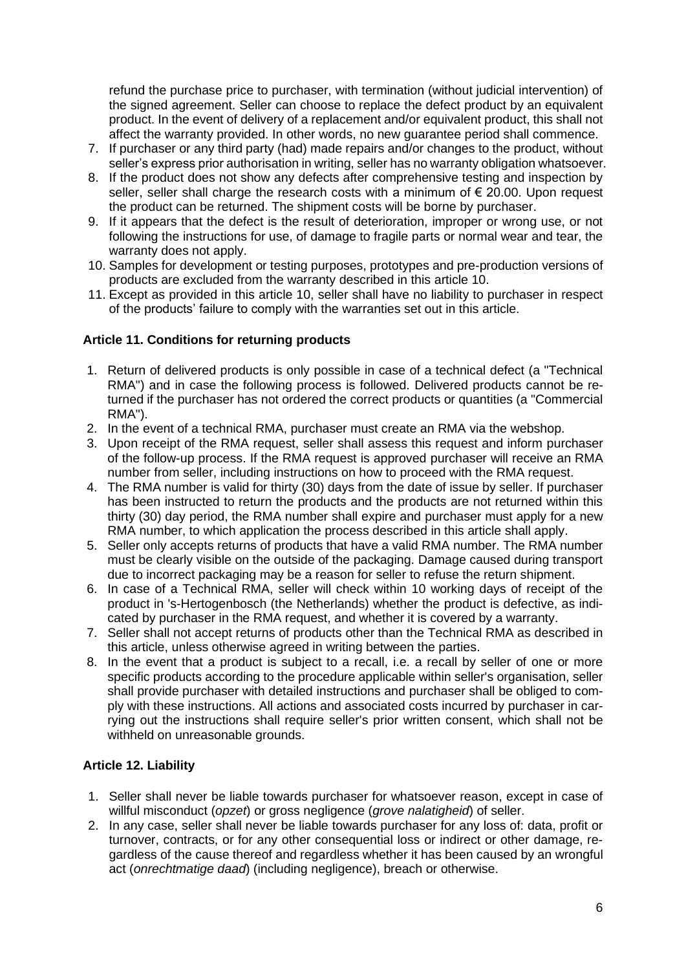refund the purchase price to purchaser, with termination (without judicial intervention) of the signed agreement. Seller can choose to replace the defect product by an equivalent product. In the event of delivery of a replacement and/or equivalent product, this shall not affect the warranty provided. In other words, no new guarantee period shall commence.

- 7. If purchaser or any third party (had) made repairs and/or changes to the product, without seller's express prior authorisation in writing, seller has no warranty obligation whatsoever.
- 8. If the product does not show any defects after comprehensive testing and inspection by seller, seller shall charge the research costs with a minimum of  $\epsilon$  20.00. Upon request the product can be returned. The shipment costs will be borne by purchaser.
- 9. If it appears that the defect is the result of deterioration, improper or wrong use, or not following the instructions for use, of damage to fragile parts or normal wear and tear, the warranty does not apply.
- 10. Samples for development or testing purposes, prototypes and pre-production versions of products are excluded from the warranty described in this article 10.
- 11. Except as provided in this article 10, seller shall have no liability to purchaser in respect of the products' failure to comply with the warranties set out in this article.

### **Article 11. Conditions for returning products**

- 1. Return of delivered products is only possible in case of a technical defect (a "Technical RMA") and in case the following process is followed. Delivered products cannot be returned if the purchaser has not ordered the correct products or quantities (a "Commercial RMA").
- 2. In the event of a technical RMA, purchaser must create an RMA via the webshop.
- 3. Upon receipt of the RMA request, seller shall assess this request and inform purchaser of the follow-up process. If the RMA request is approved purchaser will receive an RMA number from seller, including instructions on how to proceed with the RMA request.
- 4. The RMA number is valid for thirty (30) days from the date of issue by seller. If purchaser has been instructed to return the products and the products are not returned within this thirty (30) day period, the RMA number shall expire and purchaser must apply for a new RMA number, to which application the process described in this article shall apply.
- 5. Seller only accepts returns of products that have a valid RMA number. The RMA number must be clearly visible on the outside of the packaging. Damage caused during transport due to incorrect packaging may be a reason for seller to refuse the return shipment.
- 6. In case of a Technical RMA, seller will check within 10 working days of receipt of the product in 's-Hertogenbosch (the Netherlands) whether the product is defective, as indicated by purchaser in the RMA request, and whether it is covered by a warranty.
- 7. Seller shall not accept returns of products other than the Technical RMA as described in this article, unless otherwise agreed in writing between the parties.
- 8. In the event that a product is subject to a recall, i.e. a recall by seller of one or more specific products according to the procedure applicable within seller's organisation, seller shall provide purchaser with detailed instructions and purchaser shall be obliged to comply with these instructions. All actions and associated costs incurred by purchaser in carrying out the instructions shall require seller's prior written consent, which shall not be withheld on unreasonable grounds.

# **Article 12. Liability**

- 1. Seller shall never be liable towards purchaser for whatsoever reason, except in case of willful misconduct (*opzet*) or gross negligence (*grove nalatigheid*) of seller.
- 2. In any case, seller shall never be liable towards purchaser for any loss of: data, profit or turnover, contracts, or for any other consequential loss or indirect or other damage, regardless of the cause thereof and regardless whether it has been caused by an wrongful act (*onrechtmatige daad*) (including negligence), breach or otherwise.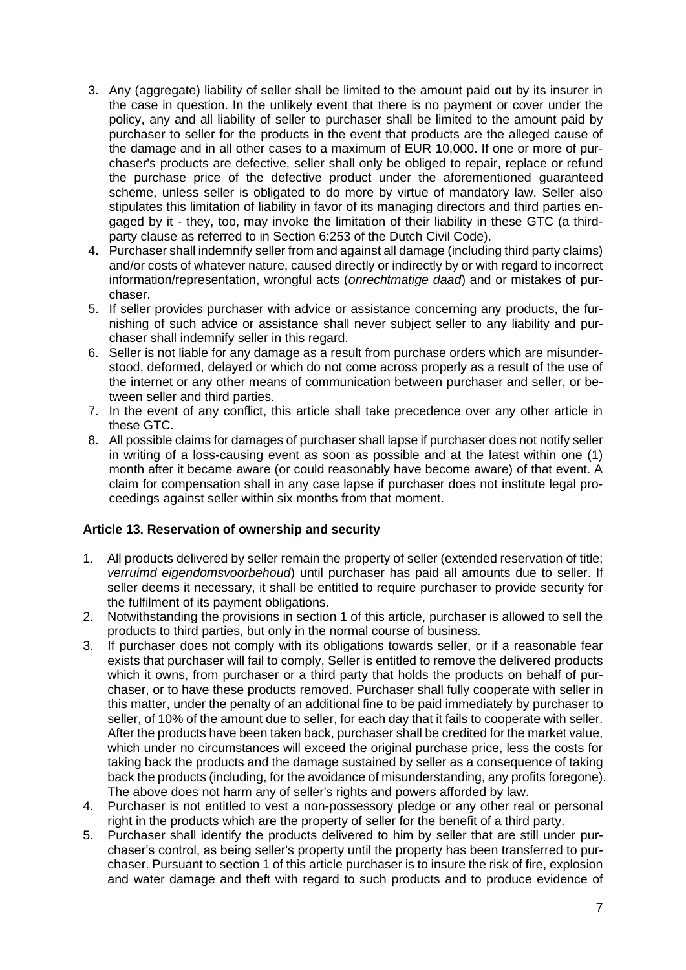- 3. Any (aggregate) liability of seller shall be limited to the amount paid out by its insurer in the case in question. In the unlikely event that there is no payment or cover under the policy, any and all liability of seller to purchaser shall be limited to the amount paid by purchaser to seller for the products in the event that products are the alleged cause of the damage and in all other cases to a maximum of EUR 10,000. If one or more of purchaser's products are defective, seller shall only be obliged to repair, replace or refund the purchase price of the defective product under the aforementioned guaranteed scheme, unless seller is obligated to do more by virtue of mandatory law. Seller also stipulates this limitation of liability in favor of its managing directors and third parties engaged by it - they, too, may invoke the limitation of their liability in these GTC (a thirdparty clause as referred to in Section 6:253 of the Dutch Civil Code).
- 4. Purchaser shall indemnify seller from and against all damage (including third party claims) and/or costs of whatever nature, caused directly or indirectly by or with regard to incorrect information/representation, wrongful acts (*onrechtmatige daad*) and or mistakes of purchaser.
- 5. If seller provides purchaser with advice or assistance concerning any products, the furnishing of such advice or assistance shall never subject seller to any liability and purchaser shall indemnify seller in this regard.
- 6. Seller is not liable for any damage as a result from purchase orders which are misunderstood, deformed, delayed or which do not come across properly as a result of the use of the internet or any other means of communication between purchaser and seller, or between seller and third parties.
- 7. In the event of any conflict, this article shall take precedence over any other article in these GTC.
- 8. All possible claims for damages of purchaser shall lapse if purchaser does not notify seller in writing of a loss-causing event as soon as possible and at the latest within one (1) month after it became aware (or could reasonably have become aware) of that event. A claim for compensation shall in any case lapse if purchaser does not institute legal proceedings against seller within six months from that moment.

# **Article 13. Reservation of ownership and security**

- 1. All products delivered by seller remain the property of seller (extended reservation of title; *verruimd eigendomsvoorbehoud*) until purchaser has paid all amounts due to seller. If seller deems it necessary, it shall be entitled to require purchaser to provide security for the fulfilment of its payment obligations.
- 2. Notwithstanding the provisions in section 1 of this article, purchaser is allowed to sell the products to third parties, but only in the normal course of business.
- 3. If purchaser does not comply with its obligations towards seller, or if a reasonable fear exists that purchaser will fail to comply, Seller is entitled to remove the delivered products which it owns, from purchaser or a third party that holds the products on behalf of purchaser, or to have these products removed. Purchaser shall fully cooperate with seller in this matter, under the penalty of an additional fine to be paid immediately by purchaser to seller, of 10% of the amount due to seller, for each day that it fails to cooperate with seller. After the products have been taken back, purchaser shall be credited for the market value, which under no circumstances will exceed the original purchase price, less the costs for taking back the products and the damage sustained by seller as a consequence of taking back the products (including, for the avoidance of misunderstanding, any profits foregone). The above does not harm any of seller's rights and powers afforded by law.
- 4. Purchaser is not entitled to vest a non-possessory pledge or any other real or personal right in the products which are the property of seller for the benefit of a third party.
- 5. Purchaser shall identify the products delivered to him by seller that are still under purchaser's control, as being seller's property until the property has been transferred to purchaser. Pursuant to section 1 of this article purchaser is to insure the risk of fire, explosion and water damage and theft with regard to such products and to produce evidence of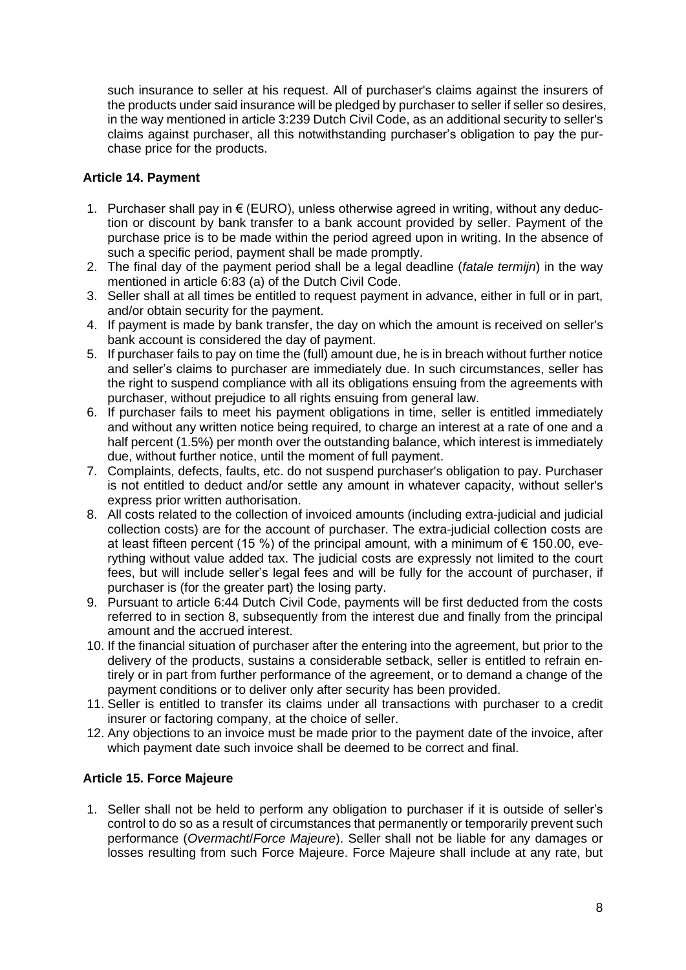such insurance to seller at his request. All of purchaser's claims against the insurers of the products under said insurance will be pledged by purchaser to seller if seller so desires, in the way mentioned in article 3:239 Dutch Civil Code, as an additional security to seller's claims against purchaser, all this notwithstanding purchaser's obligation to pay the purchase price for the products.

# **Article 14. Payment**

- 1. Purchaser shall pay in € (EURO), unless otherwise agreed in writing, without any deduction or discount by bank transfer to a bank account provided by seller. Payment of the purchase price is to be made within the period agreed upon in writing. In the absence of such a specific period, payment shall be made promptly.
- 2. The final day of the payment period shall be a legal deadline (*fatale termijn*) in the way mentioned in article 6:83 (a) of the Dutch Civil Code.
- 3. Seller shall at all times be entitled to request payment in advance, either in full or in part, and/or obtain security for the payment.
- 4. If payment is made by bank transfer, the day on which the amount is received on seller's bank account is considered the day of payment.
- 5. If purchaser fails to pay on time the (full) amount due, he is in breach without further notice and seller's claims to purchaser are immediately due. In such circumstances, seller has the right to suspend compliance with all its obligations ensuing from the agreements with purchaser, without prejudice to all rights ensuing from general law.
- 6. If purchaser fails to meet his payment obligations in time, seller is entitled immediately and without any written notice being required, to charge an interest at a rate of one and a half percent (1.5%) per month over the outstanding balance, which interest is immediately due, without further notice, until the moment of full payment.
- 7. Complaints, defects, faults, etc. do not suspend purchaser's obligation to pay. Purchaser is not entitled to deduct and/or settle any amount in whatever capacity, without seller's express prior written authorisation.
- 8. All costs related to the collection of invoiced amounts (including extra-judicial and judicial collection costs) are for the account of purchaser. The extra-judicial collection costs are at least fifteen percent (15 %) of the principal amount, with a minimum of  $\epsilon$  150.00, everything without value added tax. The judicial costs are expressly not limited to the court fees, but will include seller's legal fees and will be fully for the account of purchaser, if purchaser is (for the greater part) the losing party.
- 9. Pursuant to article 6:44 Dutch Civil Code, payments will be first deducted from the costs referred to in section 8, subsequently from the interest due and finally from the principal amount and the accrued interest.
- 10. If the financial situation of purchaser after the entering into the agreement, but prior to the delivery of the products, sustains a considerable setback, seller is entitled to refrain entirely or in part from further performance of the agreement, or to demand a change of the payment conditions or to deliver only after security has been provided.
- 11. Seller is entitled to transfer its claims under all transactions with purchaser to a credit insurer or factoring company, at the choice of seller.
- 12. Any objections to an invoice must be made prior to the payment date of the invoice, after which payment date such invoice shall be deemed to be correct and final.

# **Article 15. Force Majeure**

1. Seller shall not be held to perform any obligation to purchaser if it is outside of seller's control to do so as a result of circumstances that permanently or temporarily prevent such performance (*Overmacht*/*Force Majeure*). Seller shall not be liable for any damages or losses resulting from such Force Majeure. Force Majeure shall include at any rate, but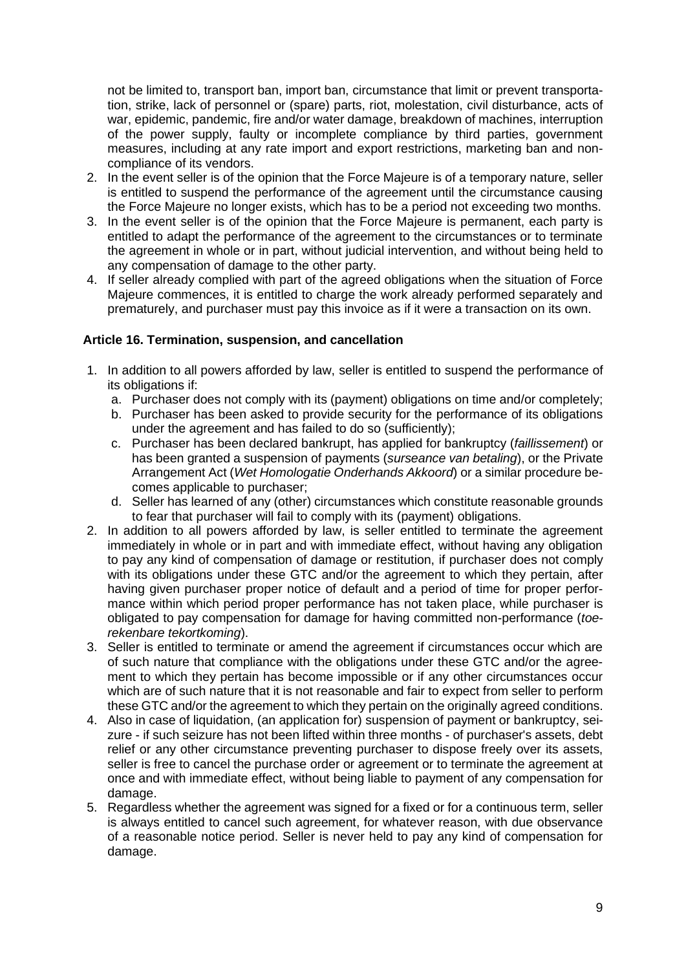not be limited to, transport ban, import ban, circumstance that limit or prevent transportation, strike, lack of personnel or (spare) parts, riot, molestation, civil disturbance, acts of war, epidemic, pandemic, fire and/or water damage, breakdown of machines, interruption of the power supply, faulty or incomplete compliance by third parties, government measures, including at any rate import and export restrictions, marketing ban and noncompliance of its vendors.

- 2. In the event seller is of the opinion that the Force Majeure is of a temporary nature, seller is entitled to suspend the performance of the agreement until the circumstance causing the Force Majeure no longer exists, which has to be a period not exceeding two months.
- 3. In the event seller is of the opinion that the Force Majeure is permanent, each party is entitled to adapt the performance of the agreement to the circumstances or to terminate the agreement in whole or in part, without judicial intervention, and without being held to any compensation of damage to the other party.
- 4. If seller already complied with part of the agreed obligations when the situation of Force Majeure commences, it is entitled to charge the work already performed separately and prematurely, and purchaser must pay this invoice as if it were a transaction on its own.

### **Article 16. Termination, suspension, and cancellation**

- 1. In addition to all powers afforded by law, seller is entitled to suspend the performance of its obligations if:
	- a. Purchaser does not comply with its (payment) obligations on time and/or completely;
	- b. Purchaser has been asked to provide security for the performance of its obligations under the agreement and has failed to do so (sufficiently);
	- c. Purchaser has been declared bankrupt, has applied for bankruptcy (*faillissement*) or has been granted a suspension of payments (*surseance van betaling*), or the Private Arrangement Act (*Wet Homologatie Onderhands Akkoord*) or a similar procedure becomes applicable to purchaser;
	- d. Seller has learned of any (other) circumstances which constitute reasonable grounds to fear that purchaser will fail to comply with its (payment) obligations.
- 2. In addition to all powers afforded by law, is seller entitled to terminate the agreement immediately in whole or in part and with immediate effect, without having any obligation to pay any kind of compensation of damage or restitution, if purchaser does not comply with its obligations under these GTC and/or the agreement to which they pertain, after having given purchaser proper notice of default and a period of time for proper performance within which period proper performance has not taken place, while purchaser is obligated to pay compensation for damage for having committed non-performance (*toerekenbare tekortkoming*).
- 3. Seller is entitled to terminate or amend the agreement if circumstances occur which are of such nature that compliance with the obligations under these GTC and/or the agreement to which they pertain has become impossible or if any other circumstances occur which are of such nature that it is not reasonable and fair to expect from seller to perform these GTC and/or the agreement to which they pertain on the originally agreed conditions.
- 4. Also in case of liquidation, (an application for) suspension of payment or bankruptcy, seizure - if such seizure has not been lifted within three months - of purchaser's assets, debt relief or any other circumstance preventing purchaser to dispose freely over its assets, seller is free to cancel the purchase order or agreement or to terminate the agreement at once and with immediate effect, without being liable to payment of any compensation for damage.
- 5. Regardless whether the agreement was signed for a fixed or for a continuous term, seller is always entitled to cancel such agreement, for whatever reason, with due observance of a reasonable notice period. Seller is never held to pay any kind of compensation for damage.